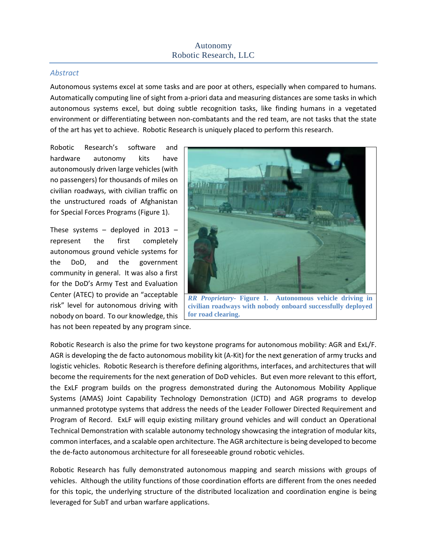#### *Abstract*

Autonomous systems excel at some tasks and are poor at others, especially when compared to humans. Automatically computing line of sight from a-priori data and measuring distances are some tasks in which autonomous systems excel, but doing subtle recognition tasks, like finding humans in a vegetated environment or differentiating between non-combatants and the red team, are not tasks that the state of the art has yet to achieve. Robotic Research is uniquely placed to perform this research.

Robotic Research's software and hardware autonomy kits have autonomously driven large vehicles (with no passengers) for thousands of miles on civilian roadways, with civilian traffic on the unstructured roads of Afghanistan for Special Forces Programs (Figure 1).

These systems – deployed in 2013 – represent the first completely autonomous ground vehicle systems for the DoD, and the government community in general. It was also a first for the DoD's Army Test and Evaluation Center (ATEC) to provide an "acceptable risk" level for autonomous driving with nobody on board. To our knowledge, this has not been repeated by any program since.



**civilian roadways with nobody onboard successfully deployed for road clearing.**

Robotic Research is also the prime for two keystone programs for autonomous mobility: AGR and ExL/F. AGR is developing the de facto autonomous mobility kit (A-Kit) for the next generation of army trucks and logistic vehicles. Robotic Research is therefore defining algorithms, interfaces, and architectures that will become the requirements for the next generation of DoD vehicles. But even more relevant to this effort, the ExLF program builds on the progress demonstrated during the Autonomous Mobility Applique Systems (AMAS) Joint Capability Technology Demonstration (JCTD) and AGR programs to develop unmanned prototype systems that address the needs of the Leader Follower Directed Requirement and Program of Record. ExLF will equip existing military ground vehicles and will conduct an Operational Technical Demonstration with scalable autonomy technology showcasing the integration of modular kits, common interfaces, and a scalable open architecture. The AGR architecture is being developed to become the de-facto autonomous architecture for all foreseeable ground robotic vehicles.

Robotic Research has fully demonstrated autonomous mapping and search missions with groups of vehicles. Although the utility functions of those coordination efforts are different from the ones needed for this topic, the underlying structure of the distributed localization and coordination engine is being leveraged for SubT and urban warfare applications.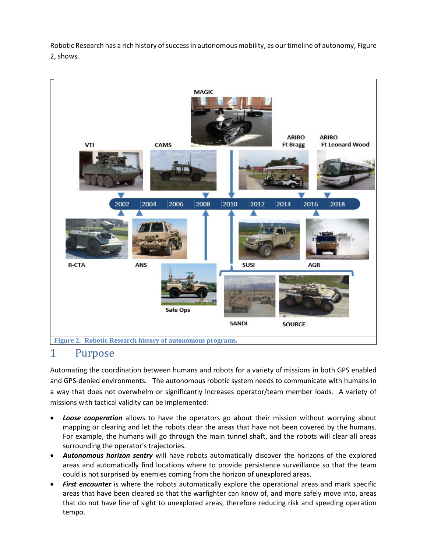Robotic Research has a rich history of success in autonomous mobility, as our timeline of autonomy, Figure 2, shows.



## 1 Purpose

Automating the coordination between humans and robots for a variety of missions in both GPS enabled and GPS-denied environments. The autonomous robotic system needs to communicate with humans in a way that does not overwhelm or significantly increases operator/team member loads. A variety of missions with tactical validity can be implemented:

- *Loose cooperation* allows to have the operators go about their mission without worrying about mapping or clearing and let the robots clear the areas that have not been covered by the humans. For example, the humans will go through the main tunnel shaft, and the robots will clear all areas surrounding the operator's trajectories.
- *Autonomous horizon sentry* will have robots automatically discover the horizons of the explored areas and automatically find locations where to provide persistence surveillance so that the team could is not surprised by enemies coming from the horizon of unexplored areas.
- **First encounter** is where the robots automatically explore the operational areas and mark specific areas that have been cleared so that the warfighter can know of, and more safely move into, areas that do not have line of sight to unexplored areas, therefore reducing risk and speeding operation tempo.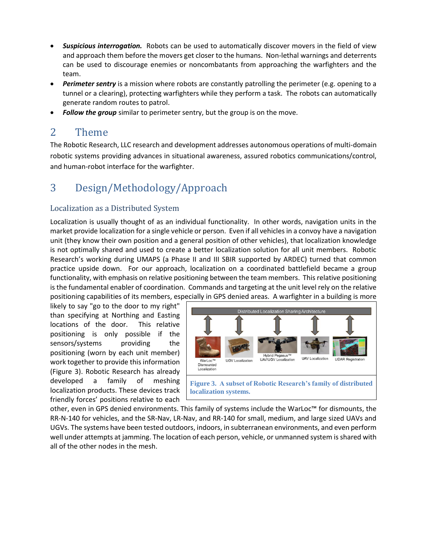- *Suspicious interrogation.* Robots can be used to automatically discover movers in the field of view and approach them before the movers get closer to the humans. Non-lethal warnings and deterrents can be used to discourage enemies or noncombatants from approaching the warfighters and the team.
- **Perimeter sentry** is a mission where robots are constantly patrolling the perimeter (e.g. opening to a tunnel or a clearing), protecting warfighters while they perform a task. The robots can automatically generate random routes to patrol.
- **Follow the group** similar to perimeter sentry, but the group is on the move.

## 2 Theme

The Robotic Research, LLC research and development addresses autonomous operations of multi-domain robotic systems providing advances in situational awareness, assured robotics communications/control, and human-robot interface for the warfighter.

# 3 Design/Methodology/Approach

### Localization as a Distributed System

Localization is usually thought of as an individual functionality. In other words, navigation units in the market provide localization for a single vehicle or person. Even if all vehicles in a convoy have a navigation unit (they know their own position and a general position of other vehicles), that localization knowledge is not optimally shared and used to create a better localization solution for all unit members. Robotic Research's working during UMAPS (a Phase II and III SBIR supported by ARDEC) turned that common practice upside down. For our approach, localization on a coordinated battlefield became a group functionality, with emphasis on relative positioning between the team members. This relative positioning is the fundamental enabler of coordination. Commands and targeting at the unit level rely on the relative positioning capabilities of its members, especially in GPS denied areas. A warfighter in a building is more

likely to say "go to the door to my right" than specifying at Northing and Easting locations of the door. This relative positioning is only possible if the sensors/systems providing the positioning (worn by each unit member) work together to provide this information (Figure 3). Robotic Research has already developed a family of meshing localization products. These devices track friendly forces' positions relative to each



**Figure 3. A subset of Robotic Research's family of distributed localization systems.**

other, even in GPS denied environments. This family of systems include the WarLoc™ for dismounts, the RR-N-140 for vehicles, and the SR-Nav, LR-Nav, and RR-140 for small, medium, and large sized UAVs and UGVs. The systems have been tested outdoors, indoors, in subterranean environments, and even perform well under attempts at jamming. The location of each person, vehicle, or unmanned system is shared with all of the other nodes in the mesh.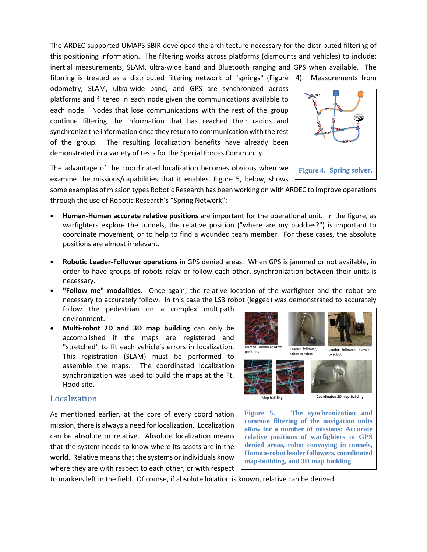The ARDEC supported UMAPS SBIR developed the architecture necessary for the distributed filtering of this positioning information. The filtering works across platforms (dismounts and vehicles) to include: inertial measurements, SLAM, ultra-wide band and Bluetooth ranging and GPS when available. The filtering is treated as a distributed filtering network of "springs" [\(Figure](#page-3-0) 4). Measurements from

odometry, SLAM, ultra-wide band, and GPS are synchronized across platforms and filtered in each node given the communications available to each node. Nodes that lose communications with the rest of the group continue filtering the information that has reached their radios and synchronize the information once they return to communication with the rest of the group. The resulting localization benefits have already been demonstrated in a variety of tests for the Special Forces Community.

<span id="page-3-0"></span>

The advantage of the coordinated localization becomes obvious when we examine the missions/capabilities that it enables. Figure 5, below, shows

some examples of mission types Robotic Research has been working on with ARDEC to improve operations through the use of Robotic Research's "Spring Network":

- **Human-Human accurate relative positions** are important for the operational unit. In the figure, as warfighters explore the tunnels, the relative position ("where are my buddies?") is important to coordinate movement, or to help to find a wounded team member. For these cases, the absolute positions are almost irrelevant.
- **Robotic Leader-Follower operations** in GPS denied areas. When GPS is jammed or not available, in order to have groups of robots relay or follow each other, synchronization between their units is necessary.
- **"Follow me" modalities**. Once again, the relative location of the warfighter and the robot are necessary to accurately follow. In this case the LS3 robot (legged) was demonstrated to accurately

follow the pedestrian on a complex multipath environment.

• **Multi-robot 2D and 3D map building** can only be accomplished if the maps are registered and "stretched" to fit each vehicle's errors in localization. This registration (SLAM) must be performed to assemble the maps. The coordinated localization synchronization was used to build the maps at the Ft. Hood site.

### Localization

As mentioned earlier, at the core of every coordination mission, there is always a need for localization. Localization can be absolute or relative. Absolute localization means that the system needs to know where its assets are in the world. Relative means that the systems or individuals know where they are with respect to each other, or with respect



**map-building, and 3D map building.**

to markers left in the field. Of course, if absolute location is known, relative can be derived.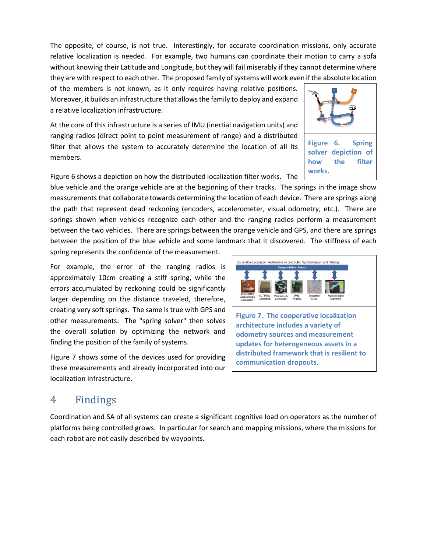The opposite, of course, is not true. Interestingly, for accurate coordination missions, only accurate relative localization is needed. For example, two humans can coordinate their motion to carry a sofa without knowing their Latitude and Longitude, but they will fail miserably if they cannot determine where they are with respect to each other. The proposed family of systems will work even if the absolute location

of the members is not known, as it only requires having relative positions. Moreover, it builds an infrastructure that allows the family to deploy and expand a relative localization infrastructure.

At the core of this infrastructure is a series of IMU (inertial navigation units) and ranging radios (direct point to point measurement of range) and a distributed filter that allows the system to accurately determine the location of all its members.

Figure 6 shows a depiction on how the distributed localization filter works. The

blue vehicle and the orange vehicle are at the beginning of their tracks. The springs in the image show measurements that collaborate towards determining the location of each device. There are springs along the path that represent dead reckoning (encoders, accelerometer, visual odometry, etc.). There are springs shown when vehicles recognize each other and the ranging radios perform a measurement between the two vehicles. There are springs between the orange vehicle and GPS, and there are springs between the position of the blue vehicle and some landmark that it discovered. The stiffness of each

spring represents the confidence of the measurement.

For example, the error of the ranging radios is approximately 10cm creating a stiff spring, while the errors accumulated by reckoning could be significantly larger depending on the distance traveled, therefore, creating very soft springs. The same is true with GPS and other measurements. The "spring solver" then solves the overall solution by optimizing the network and finding the position of the family of systems.

Figure 7 shows some of the devices used for providing these measurements and already incorporated into our localization infrastructure.

## 4 Findings

Coordination and SA of all systems can create a significant cognitive load on operators as the number of platforms being controlled grows. In particular for search and mapping missions, where the missions for each robot are not easily described by waypoints.





**works.**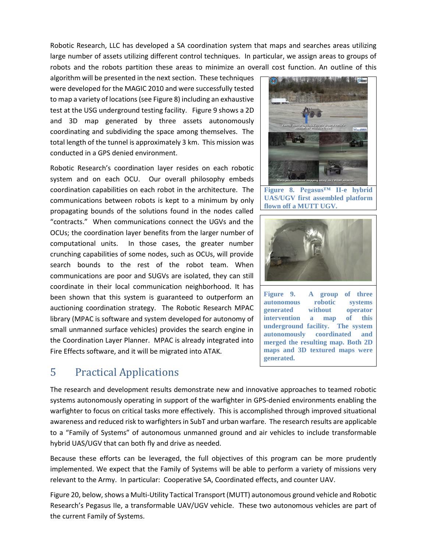Robotic Research, LLC has developed a SA coordination system that maps and searches areas utilizing large number of assets utilizing different control techniques. In particular, we assign areas to groups of robots and the robots partition these areas to minimize an overall cost function. An outline of this

algorithm will be presented in the next section. These techniques were developed for the MAGIC 2010 and were successfully tested to map a variety of locations(see Figure 8) including an exhaustive test at the USG underground testing facility. Figure 9 shows a 2D and 3D map generated by three assets autonomously coordinating and subdividing the space among themselves. The total length of the tunnel is approximately 3 km. This mission was conducted in a GPS denied environment.

Robotic Research's coordination layer resides on each robotic system and on each OCU. Our overall philosophy embeds coordination capabilities on each robot in the architecture. The communications between robots is kept to a minimum by only propagating bounds of the solutions found in the nodes called "contracts." When communications connect the UGVs and the OCUs; the coordination layer benefits from the larger number of computational units. In those cases, the greater number crunching capabilities of some nodes, such as OCUs, will provide search bounds to the rest of the robot team. When communications are poor and SUGVs are isolated, they can still coordinate in their local communication neighborhood. It has been shown that this system is guaranteed to outperform an auctioning coordination strategy. The Robotic Research MPAC library (MPAC is software and system developed for autonomy of small unmanned surface vehicles) provides the search engine in the Coordination Layer Planner. MPAC is already integrated into Fire Effects software, and it will be migrated into ATAK.

# 5 Practical Applications



**Figure 8. Pegasus™ II-e hybrid UAS/UGV first assembled platform flown off a MUTT UGV.**



**Figure 9. A group of three autonomous robotic systems generated without operator intervention a map of this underground facility. The system autonomously coordinated and merged the resulting map. Both 2D maps and 3D textured maps were generated.**

The research and development results demonstrate new and innovative approaches to teamed robotic systems autonomously operating in support of the warfighter in GPS-denied environments enabling the warfighter to focus on critical tasks more effectively. This is accomplished through improved situational awareness and reduced risk to warfighters in SubT and urban warfare. The research results are applicable to a "Family of Systems" of autonomous unmanned ground and air vehicles to include transformable hybrid UAS/UGV that can both fly and drive as needed.

Because these efforts can be leveraged, the full objectives of this program can be more prudently implemented. We expect that the Family of Systems will be able to perform a variety of missions very relevant to the Army. In particular: Cooperative SA, Coordinated effects, and counter UAV.

[Figure 20](#page-6-0), below, shows a Multi-Utility Tactical Transport (MUTT) autonomous ground vehicle and Robotic Research's Pegasus IIe, a transformable UAV/UGV vehicle. These two autonomous vehicles are part of the current Family of Systems.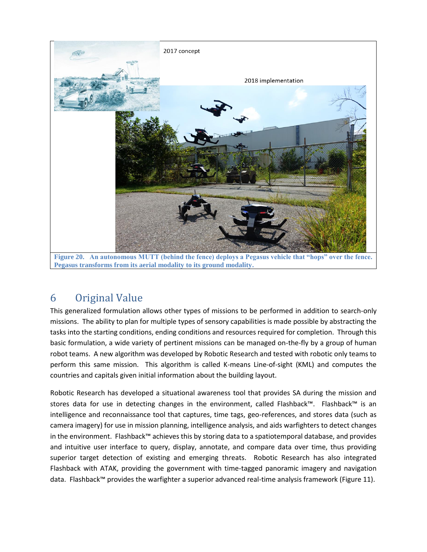

**Pegasus transforms from its aerial modality to its ground modality.**

## <span id="page-6-0"></span>6 Original Value

This generalized formulation allows other types of missions to be performed in addition to search-only missions. The ability to plan for multiple types of sensory capabilities is made possible by abstracting the tasks into the starting conditions, ending conditions and resources required for completion. Through this basic formulation, a wide variety of pertinent missions can be managed on-the-fly by a group of human robot teams. A new algorithm was developed by Robotic Research and tested with robotic only teams to perform this same mission. This algorithm is called K-means Line-of-sight (KML) and computes the countries and capitals given initial information about the building layout.

Robotic Research has developed a situational awareness tool that provides SA during the mission and stores data for use in detecting changes in the environment, called Flashback™. Flashback™ is an intelligence and reconnaissance tool that captures, time tags, geo-references, and stores data (such as camera imagery) for use in mission planning, intelligence analysis, and aids warfighters to detect changes in the environment. Flashback™ achieves this by storing data to a spatiotemporal database, and provides and intuitive user interface to query, display, annotate, and compare data over time, thus providing superior target detection of existing and emerging threats. Robotic Research has also integrated Flashback with ATAK, providing the government with time-tagged panoramic imagery and navigation data. Flashback™ provides the warfighter a superior advanced real-time analysis framework (Figure 11).